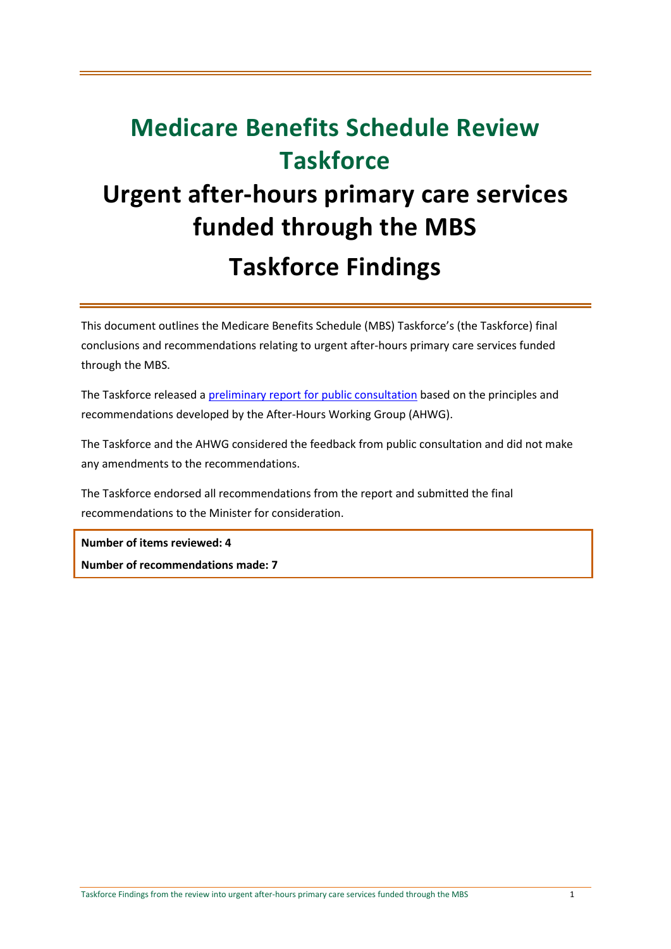## **Medicare Benefits Schedule Review Taskforce**

## **Urgent after-hours primary care services funded through the MBS Taskforce Findings**

This document outlines the Medicare Benefits Schedule (MBS) Taskforce's (the Taskforce) final conclusions and recommendations relating to urgent after-hours primary care services funded through the MBS.

The Taskforce released a [preliminary report for public consultation](http://www.health.gov.au/internet/main/publishing.nsf/content/mbsr-report-primary-care-services) based on the principles and recommendations developed by the After-Hours Working Group (AHWG).

The Taskforce and the AHWG considered the feedback from public consultation and did not make any amendments to the recommendations.

The Taskforce endorsed all recommendations from the report and submitted the final recommendations to the Minister for consideration.

**Number of items reviewed: 4 Number of recommendations made: 7**

Taskforce Findings from the review into urgent after-hours primary care services funded through the MBS 1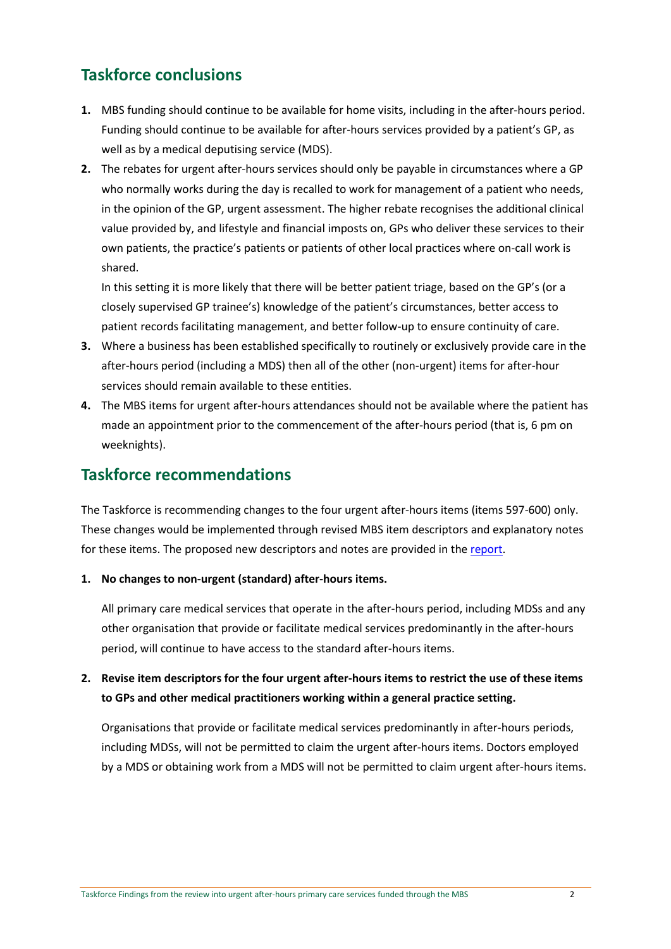## **Taskforce conclusions**

- **1.** MBS funding should continue to be available for home visits, including in the after-hours period. Funding should continue to be available for after-hours services provided by a patient's GP, as well as by a medical deputising service (MDS).
- **2.** The rebates for urgent after-hours services should only be payable in circumstances where a GP who normally works during the day is recalled to work for management of a patient who needs, in the opinion of the GP, urgent assessment. The higher rebate recognises the additional clinical value provided by, and lifestyle and financial imposts on, GPs who deliver these services to their own patients, the practice's patients or patients of other local practices where on-call work is shared.

In this setting it is more likely that there will be better patient triage, based on the GP's (or a closely supervised GP trainee's) knowledge of the patient's circumstances, better access to patient records facilitating management, and better follow-up to ensure continuity of care.

- **3.** Where a business has been established specifically to routinely or exclusively provide care in the after-hours period (including a MDS) then all of the other (non-urgent) items for after-hour services should remain available to these entities.
- **4.** The MBS items for urgent after-hours attendances should not be available where the patient has made an appointment prior to the commencement of the after-hours period (that is, 6 pm on weeknights).

## **Taskforce recommendations**

The Taskforce is recommending changes to the four urgent after-hours items (items 597-600) only. These changes would be implemented through revised MBS item descriptors and explanatory notes for these items. The proposed new descriptors and notes are provided in th[e report.](http://www.health.gov.au/internet/main/publishing.nsf/content/mbsr-report-primary-care-services)

**1. No changes to non-urgent (standard) after-hours items.** 

All primary care medical services that operate in the after-hours period, including MDSs and any other organisation that provide or facilitate medical services predominantly in the after-hours period, will continue to have access to the standard after-hours items.

**2. Revise item descriptors for the four urgent after-hours items to restrict the use of these items to GPs and other medical practitioners working within a general practice setting.** 

Organisations that provide or facilitate medical services predominantly in after-hours periods, including MDSs, will not be permitted to claim the urgent after-hours items. Doctors employed by a MDS or obtaining work from a MDS will not be permitted to claim urgent after-hours items.